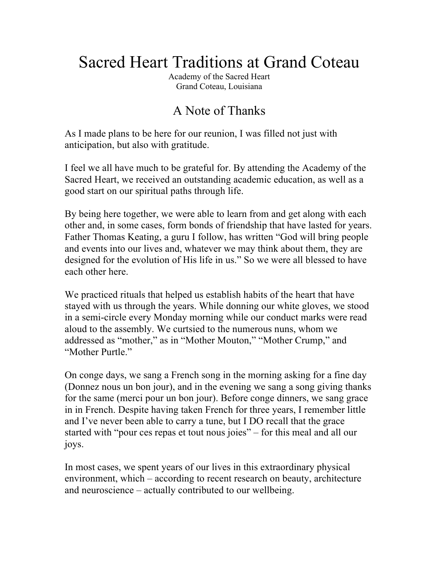# Sacred Heart Traditions at Grand Coteau

Academy of the Sacred Heart Grand Coteau, Louisiana

# A Note of Thanks

As I made plans to be here for our reunion, I was filled not just with anticipation, but also with gratitude.

I feel we all have much to be grateful for. By attending the Academy of the Sacred Heart, we received an outstanding academic education, as well as a good start on our spiritual paths through life.

By being here together, we were able to learn from and get along with each other and, in some cases, form bonds of friendship that have lasted for years. Father Thomas Keating, a guru I follow, has written "God will bring people and events into our lives and, whatever we may think about them, they are designed for the evolution of His life in us." So we were all blessed to have each other here.

We practiced rituals that helped us establish habits of the heart that have stayed with us through the years. While donning our white gloves, we stood in a semi-circle every Monday morning while our conduct marks were read aloud to the assembly. We curtsied to the numerous nuns, whom we addressed as "mother," as in "Mother Mouton," "Mother Crump," and "Mother Purtle."

On conge days, we sang a French song in the morning asking for a fine day (Donnez nous un bon jour), and in the evening we sang a song giving thanks for the same (merci pour un bon jour). Before conge dinners, we sang grace in in French. Despite having taken French for three years, I remember little and I've never been able to carry a tune, but I DO recall that the grace started with "pour ces repas et tout nous joies" – for this meal and all our joys.

In most cases, we spent years of our lives in this extraordinary physical environment, which – according to recent research on beauty, architecture and neuroscience – actually contributed to our wellbeing.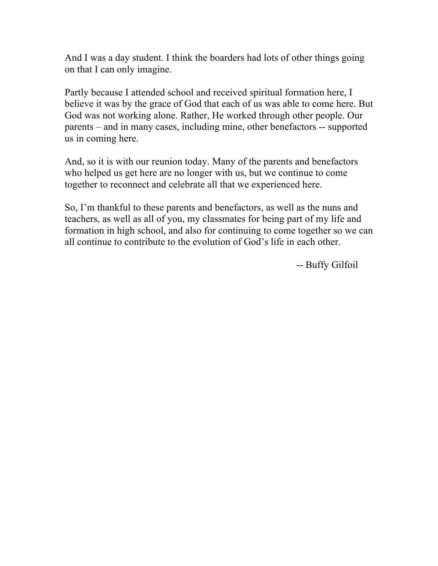And I was a day student. I think the boarders had lots of other things going on that I can only imagine.

Partly because I attended school and received spiritual formation here, I believe it was by the grace of God that each of us was able to come here. But God was not working alone. Rather, He worked through other people. Our parents – and in many cases, including mine, other benefactors -- supported us in coming here.

And, so it is with our reunion today. Many of the parents and benefactors who helped us get here are no longer with us, but we continue to come together to reconnect and celebrate all that we experienced here.

So, I'm thankful to these parents and benefactors, as well as the nuns and teachers, as well as all of you, my classmates for being part of my life and formation in high school, and also for continuing to come together so we can all continue to contribute to the evolution of God's life in each other.

-- Buffy Gilfoil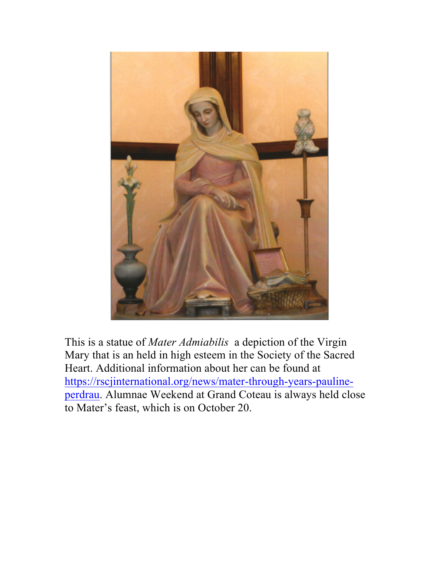

This is a statue of *Mater Admiabilis* a depiction of the Virgin Mary that is an held in high esteem in the Society of the Sacred Heart. Additional information about her can be found at https://rscjinternational.org/news/mater-through-years-paulineperdrau. Alumnae Weekend at Grand Coteau is always held close to Mater's feast, which is on October 20.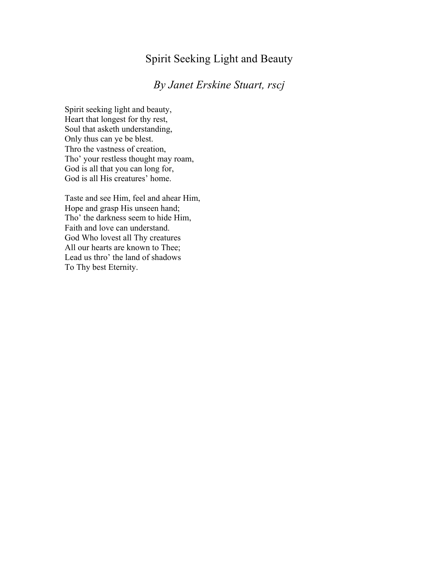### Spirit Seeking Light and Beauty

## *By Janet Erskine Stuart, rscj*

Spirit seeking light and beauty, Heart that longest for thy rest, Soul that asketh understanding, Only thus can ye be blest. Thro the vastness of creation, Tho' your restless thought may roam, God is all that you can long for, God is all His creatures' home.

Taste and see Him, feel and ahear Him, Hope and grasp His unseen hand; Tho' the darkness seem to hide Him, Faith and love can understand. God Who lovest all Thy creatures All our hearts are known to Thee; Lead us thro' the land of shadows To Thy best Eternity.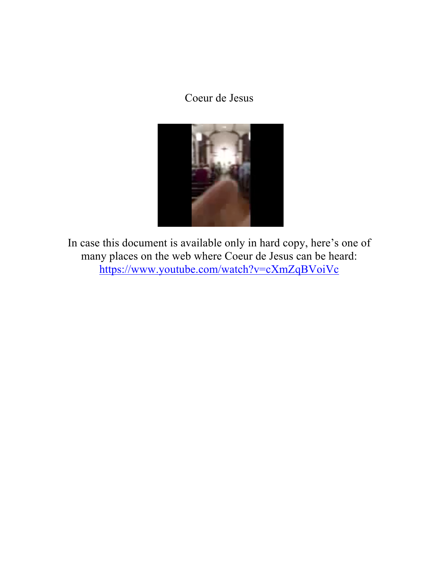# Coeur de Jesus



In case this document is available only in hard copy, here's one of many places on the web where Coeur de Jesus can be heard: https://www.youtube.com/watch?v=cXmZqBVoiVc